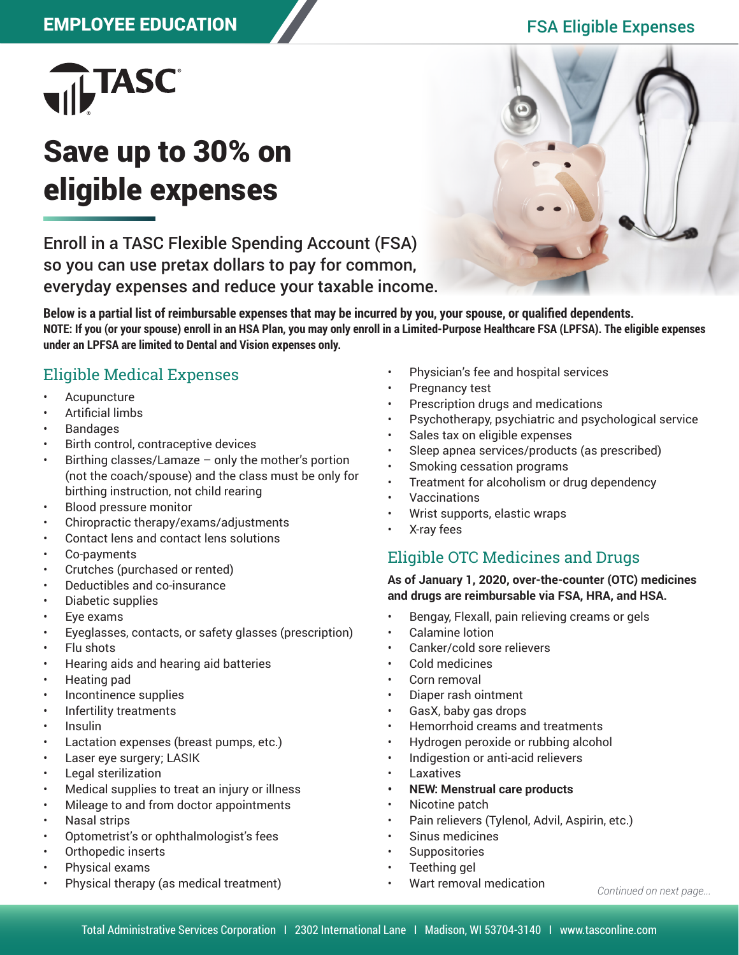## EMPLOYEE EDUCATION FSA Eligible Expenses



# Save up to 30% on eligible expenses

Enroll in a TASC Flexible Spending Account (FSA) so you can use pretax dollars to pay for common, everyday expenses and reduce your taxable income.



**Below is a partial list of reimbursable expenses that may be incurred by you, your spouse, or qualified dependents. NOTE: If you (or your spouse) enroll in an HSA Plan, you may only enroll in a Limited-Purpose Healthcare FSA (LPFSA). The eligible expenses under an LPFSA are limited to Dental and Vision expenses only.**

### Eligible Medical Expenses

- **Acupuncture**
- Artificial limbs
- **Bandages**
- Birth control, contraceptive devices
- Birthing classes/Lamaze  $-$  only the mother's portion (not the coach/spouse) and the class must be only for birthing instruction, not child rearing
- Blood pressure monitor
- Chiropractic therapy/exams/adjustments
- Contact lens and contact lens solutions
- Co-payments
- Crutches (purchased or rented)
- Deductibles and co-insurance
- Diabetic supplies
- Eye exams
- Eyeglasses, contacts, or safety glasses (prescription)
- Flu shots
- Hearing aids and hearing aid batteries
- Heating pad
- Incontinence supplies
- Infertility treatments
- Insulin
- Lactation expenses (breast pumps, etc.)
- Laser eye surgery; LASIK
- Legal sterilization
- Medical supplies to treat an injury or illness
- Mileage to and from doctor appointments
- Nasal strips
- Optometrist's or ophthalmologist's fees
- Orthopedic inserts
- Physical exams
- Physical therapy (as medical treatment)
- Physician's fee and hospital services
- Pregnancy test
- Prescription drugs and medications
- Psychotherapy, psychiatric and psychological service
- Sales tax on eligible expenses
- Sleep apnea services/products (as prescribed)
- Smoking cessation programs
- Treatment for alcoholism or drug dependency
- Vaccinations
- Wrist supports, elastic wraps
- X-ray fees

### Eligible OTC Medicines and Drugs

#### **As of January 1, 2020, over-the-counter (OTC) medicines and drugs are reimbursable via FSA, HRA, and HSA.**

- Bengay, Flexall, pain relieving creams or gels
- Calamine lotion
- Canker/cold sore relievers
- Cold medicines
- Corn removal
- Diaper rash ointment
- GasX, baby gas drops
- Hemorrhoid creams and treatments
- Hydrogen peroxide or rubbing alcohol
- Indigestion or anti-acid relievers
- Laxatives
- **• NEW: Menstrual care products**
- Nicotine patch
- Pain relievers (Tylenol, Advil, Aspirin, etc.)
- Sinus medicines
- **Suppositories**
- Teething gel
- Wart removal medication

*Continued on next page...*